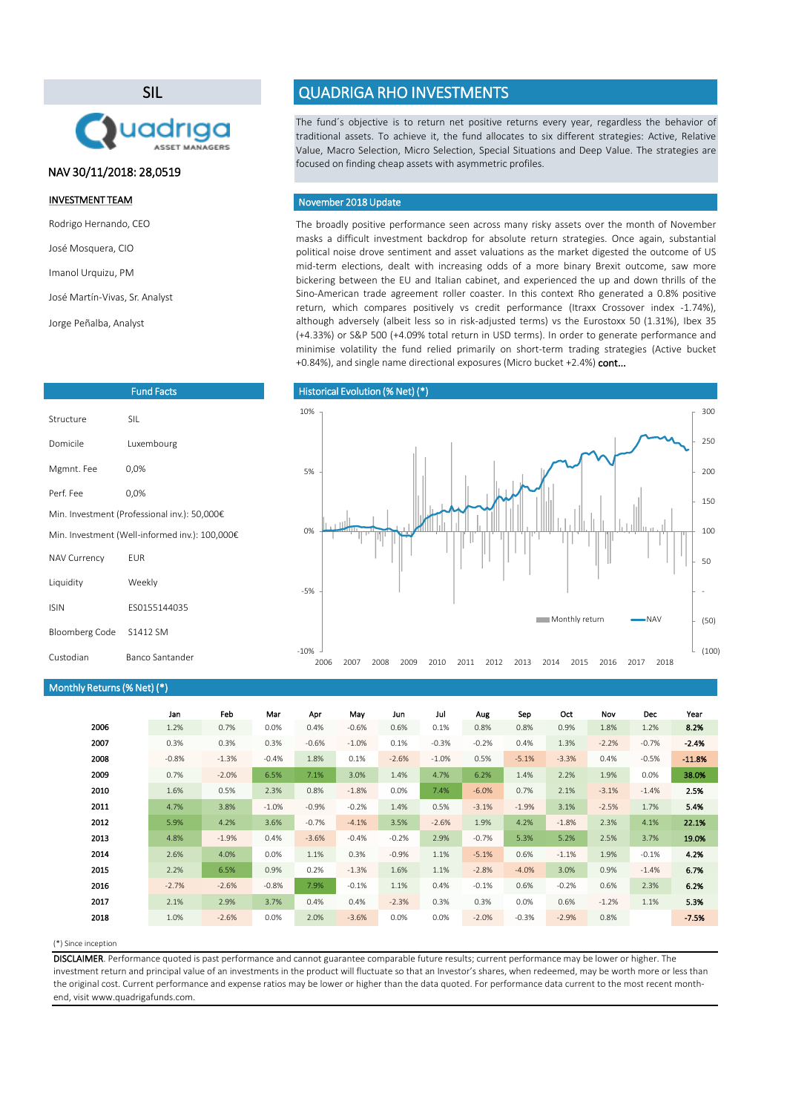## (\*) Since inception

|      | Jan     | Feb     | Mar     | Apr     | May     | Jun     | Jul      | Aug     | Sep     | Oct     | <b>Nov</b> | <b>Dec</b> | Year     |
|------|---------|---------|---------|---------|---------|---------|----------|---------|---------|---------|------------|------------|----------|
| 2006 | 1.2%    | 0.7%    | 0.0%    | 0.4%    | $-0.6%$ | 0.6%    | 0.1%     | 0.8%    | 0.8%    | 0.9%    | 1.8%       | 1.2%       | 8.2%     |
| 2007 | 0.3%    | 0.3%    | 0.3%    | $-0.6%$ | $-1.0%$ | 0.1%    | $-0.3%$  | $-0.2%$ | 0.4%    | 1.3%    | $-2.2%$    | $-0.7%$    | $-2.4%$  |
| 2008 | $-0.8%$ | $-1.3%$ | $-0.4%$ | 1.8%    | 0.1%    | $-2.6%$ | $-1.0\%$ | 0.5%    | $-5.1%$ | $-3.3%$ | 0.4%       | $-0.5%$    | $-11.8%$ |
| 2009 | 0.7%    | $-2.0%$ | 6.5%    | 7.1%    | 3.0%    | 1.4%    | 4.7%     | 6.2%    | 1.4%    | 2.2%    | 1.9%       | $0.0\%$    | 38.0%    |
| 2010 | 1.6%    | 0.5%    | 2.3%    | 0.8%    | $-1.8%$ | 0.0%    | 7.4%     | $-6.0%$ | 0.7%    | 2.1%    | $-3.1%$    | $-1.4%$    | 2.5%     |
| 2011 | 4.7%    | 3.8%    | $-1.0%$ | $-0.9%$ | $-0.2%$ | 1.4%    | 0.5%     | $-3.1%$ | $-1.9%$ | 3.1%    | $-2.5%$    | 1.7%       | 5.4%     |
| 2012 | 5.9%    | 4.2%    | 3.6%    | $-0.7%$ | $-4.1%$ | 3.5%    | $-2.6%$  | 1.9%    | 4.2%    | $-1.8%$ | 2.3%       | 4.1%       | 22.1%    |
| 2013 | 4.8%    | $-1.9%$ | 0.4%    | $-3.6%$ | $-0.4%$ | $-0.2%$ | 2.9%     | $-0.7%$ | 5.3%    | 5.2%    | 2.5%       | 3.7%       | 19.0%    |
| 2014 | 2.6%    | 4.0%    | 0.0%    | 1.1%    | 0.3%    | $-0.9%$ | 1.1%     | $-5.1%$ | 0.6%    | $-1.1%$ | 1.9%       | $-0.1%$    | 4.2%     |
| 2015 | 2.2%    | 6.5%    | 0.9%    | 0.2%    | $-1.3%$ | 1.6%    | 1.1%     | $-2.8%$ | $-4.0%$ | 3.0%    | 0.9%       | $-1.4%$    | 6.7%     |
| 2016 | $-2.7%$ | $-2.6%$ | $-0.8%$ | 7.9%    | $-0.1%$ | 1.1%    | 0.4%     | $-0.1%$ | 0.6%    | $-0.2%$ | 0.6%       | 2.3%       | 6.2%     |
| 2017 | 2.1%    | 2.9%    | 3.7%    | 0.4%    | 0.4%    | $-2.3%$ | 0.3%     | 0.3%    | 0.0%    | 0.6%    | $-1.2%$    | 1.1%       | 5.3%     |
| 2018 | 1.0%    | $-2.6%$ | 0.0%    | 2.0%    | $-3.6%$ | 0.0%    | 0.0%     | $-2.0%$ | $-0.3%$ | $-2.9%$ | 0.8%       |            | $-7.5%$  |

The broadly positive performance seen across many risky assets over the month of November masks a difficult investment backdrop for absolute return strategies. Once again, substantial political noise drove sentiment and asset valuations as the market digested the outcome of US mid-term elections, dealt with increasing odds of a more binary Brexit outcome, saw more bickering between the EU and Italian cabinet, and experienced the up and down thrills of the Sino-American trade agreement roller coaster. In this context Rho generated a 0.8% positive return, which compares positively vs credit performance (Itraxx Crossover index -1.74%), although adversely (albeit less so in risk-adjusted terms) vs the Eurostoxx 50 (1.31%), Ibex 35 (+4.33%) or S&P 500 (+4.09% total return in USD terms). In order to generate performance and minimise volatility the fund relied primarily on short-term trading strategies (Active bucket +0.84%), and single name directional exposures (Micro bucket +2.4%) cont...

# Historical Evolution (% Net) (\*) (50) - 50 100 150 200 250 300 -5% 0% 5% 10% **Monthly return CONTING WAVER**

The fund´s objective is to return net positive returns every year, regardless the behavior of traditional assets. To achieve it, the fund allocates to six different strategies: Active, Relative Value, Macro Selection, Micro Selection, Special Situations and Deep Value. The strategies are focused on finding cheap assets with asymmetric profiles.

DISCLAIMER. Performance quoted is past performance and cannot guarantee comparable future results; current performance may be lower or higher. The investment return and principal value of an investments in the product will fluctuate so that an Investor's shares, when redeemed, may be worth more or less than the original cost. Current performance and expense ratios may be lower or higher than the data quoted. For performance data current to the most recent monthend, visit www.quadrigafunds.com.

# INVESTMENT TEAM

Rodrigo Hernando, CEO

José Mosquera, CIO

Imanol Urquizu, PM

José Martín-Vivas, Sr. Analyst

Jorge Peñalba, Analyst

# SIL



# QUADRIGA RHO INVESTMENTS

| <b>Fund Facts</b>                              |              |  |  |  |
|------------------------------------------------|--------------|--|--|--|
| Structure                                      | <b>SIL</b>   |  |  |  |
| Domicile                                       | Luxembourg   |  |  |  |
| Mgmnt. Fee                                     | 0,0%         |  |  |  |
| Perf. Fee                                      | 0,0%         |  |  |  |
| Min. Investment (Professional inv.): 50,000€   |              |  |  |  |
| Min. Investment (Well-informed inv.): 100,000€ |              |  |  |  |
| <b>NAV Currency</b>                            | EUR          |  |  |  |
| Liquidity                                      | Weekly       |  |  |  |
| <b>ISIN</b>                                    | ES0155144035 |  |  |  |
| <b>Bloomberg Code</b>                          | S1412 SM     |  |  |  |

| Monthly Returns (% Net) (*) |  |  |
|-----------------------------|--|--|
|-----------------------------|--|--|

# November 2018Update

# NAV 30/11/2018: 28,0519

-10%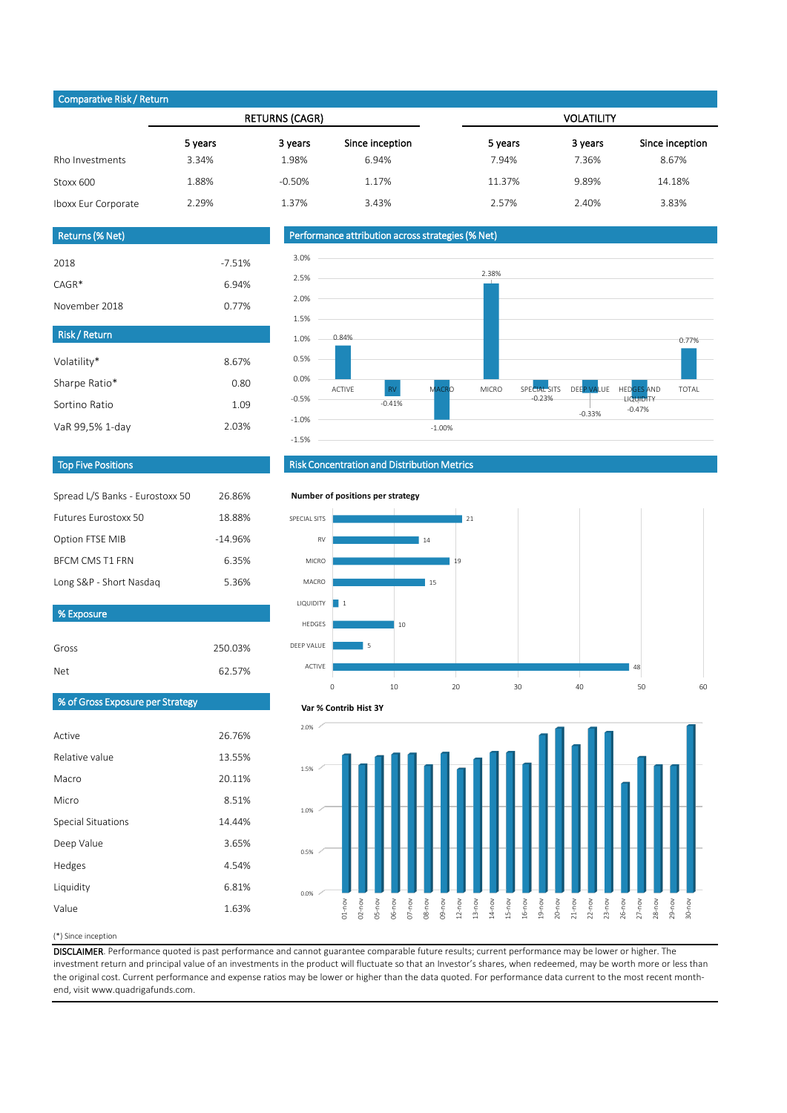## (\*) Since inception

20.11%

8.51%

14.44%

3.65%

4.54%

6.81%

Value 1.63%

Macro

Micro

Special Situations

Deep Value

Hedges

Liquidity

DISCLAIMER. Performance quoted is past performance and cannot guarantee comparable future results; current performance may be lower or higher. The investment return and principal value of an investments in the product will fluctuate so that an Investor's shares, when redeemed, may be worth more or less than the original cost. Current performance and expense ratios may be lower or higher than the data quoted. For performance data current to the most recent monthend, visit www.quadrigafunds.com.

|                     |         | <b>RETURNS (CAGR)</b> |                 | <b>VOLATILITY</b> |         |                 |  |
|---------------------|---------|-----------------------|-----------------|-------------------|---------|-----------------|--|
|                     | 5 years | 3 years               | Since inception | 5 years           | 3 years | Since inception |  |
| Rho Investments     | 3.34%   | 1.98%                 | 6.94%           | 7.94%             | 7.36%   | 8.67%           |  |
| Stoxx 600           | 1.88%   | $-0.50%$              | 1.17%           | 11.37%            | 9.89%   | 14.18%          |  |
| Iboxx Eur Corporate | 2.29%   | 1.37%                 | 3.43%           | 2.57%             | 2.40%   | 3.83%           |  |

Active

Relative value

26.76%

13.55%

| Gross                                   | 250.03% |
|-----------------------------------------|---------|
| <b>Net</b>                              | 62.57%  |
| <b>% of Gross Exposure per Strategy</b> |         |
|                                         |         |

| Spread L/S Banks - Eurostoxx 50 | 26.86%    |
|---------------------------------|-----------|
| Futures Furostoxx 50            | 18.88%    |
| Option FTSE MIB                 | $-14.96%$ |
| <b>BECM CMS T1 FRN</b>          | 6.35%     |
| Long S&P - Short Nasdag         | 5.36%     |

| <b>Risk/Return</b> |       |
|--------------------|-------|
| Volatility*        | 8.67% |
| Sharpe Ratio*      | 0.80  |
| Sortino Ratio      | 1.09  |
| VaR 99,5% 1-day    | 2.03% |

| <b>Returns (% Net)</b> |          |
|------------------------|----------|
|                        |          |
| 2018                   | $-7.51%$ |
| $CAGR*$                | 6.94%    |
| November 2018          | 0.77%    |

# Top Five Positions

# Risk Concentration and Distribution Metrics

# Performance attribution across strategies (% Net)

# Comparative Risk / Return

% Exposure







#### **Number of positions per strategy**



#### **Var % Contrib Hist 3Y**